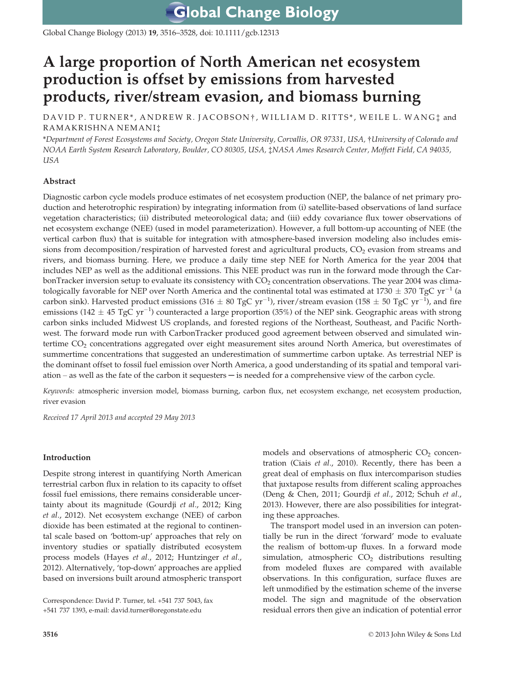**Global Change Biology** 

Global Change Biology (2013) 19, 3516–3528, doi: 10.1111/gcb.12313

# A large proportion of North American net ecosystem production is offset by emissions from harvested products, river/stream evasion, and biomass burning

DAVID P. TURNER\*, ANDREW R. JACOBSON<sup>†</sup>, WILLIAM D. RITTS\*, WEILE L. WANG<sup>+</sup> and RAMAKRISHNA NEMANI‡

\*Department of Forest Ecosystems and Society, Oregon State University, Corvallis, OR 97331, USA, †University of Colorado and NOAA Earth System Research Laboratory, Boulder, CO 80305, USA, ‡NASA Ames Research Center, Moffett Field, CA 94035, USA

# Abstract

Diagnostic carbon cycle models produce estimates of net ecosystem production (NEP, the balance of net primary production and heterotrophic respiration) by integrating information from (i) satellite-based observations of land surface vegetation characteristics; (ii) distributed meteorological data; and (iii) eddy covariance flux tower observations of net ecosystem exchange (NEE) (used in model parameterization). However, a full bottom-up accounting of NEE (the vertical carbon flux) that is suitable for integration with atmosphere-based inversion modeling also includes emissions from decomposition/respiration of harvested forest and agricultural products, CO<sub>2</sub> evasion from streams and rivers, and biomass burning. Here, we produce a daily time step NEE for North America for the year 2004 that includes NEP as well as the additional emissions. This NEE product was run in the forward mode through the CarbonTracker inversion setup to evaluate its consistency with CO<sub>2</sub> concentration observations. The year 2004 was climatologically favorable for NEP over North America and the continental total was estimated at 1730  $\pm$  370 TgC yr<sup>-1</sup> (a carbon sink). Harvested product emissions (316  $\pm$  80 TgC yr<sup>-1</sup>), river/stream evasion (158  $\pm$  50 TgC yr<sup>-1</sup>), and fire emissions (142  $\pm$  45 TgC yr<sup>-1</sup>) counteracted a large proportion (35%) of the NEP sink. Geographic areas with strong carbon sinks included Midwest US croplands, and forested regions of the Northeast, Southeast, and Pacific Northwest. The forward mode run with CarbonTracker produced good agreement between observed and simulated wintertime CO<sub>2</sub> concentrations aggregated over eight measurement sites around North America, but overestimates of summertime concentrations that suggested an underestimation of summertime carbon uptake. As terrestrial NEP is the dominant offset to fossil fuel emission over North America, a good understanding of its spatial and temporal variation – as well as the fate of the carbon it sequesters  $-$  is needed for a comprehensive view of the carbon cycle.

Keywords: atmospheric inversion model, biomass burning, carbon flux, net ecosystem exchange, net ecosystem production, river evasion

Received 17 April 2013 and accepted 29 May 2013

# Introduction

Despite strong interest in quantifying North American terrestrial carbon flux in relation to its capacity to offset fossil fuel emissions, there remains considerable uncertainty about its magnitude (Gourdji et al., 2012; King et al., 2012). Net ecosystem exchange (NEE) of carbon dioxide has been estimated at the regional to continental scale based on 'bottom-up' approaches that rely on inventory studies or spatially distributed ecosystem process models (Hayes et al., 2012; Huntzinger et al., 2012). Alternatively, 'top-down' approaches are applied based on inversions built around atmospheric transport

Correspondence: David P. Turner, tel. +541 737 5043, fax +541 737 1393, e-mail: david.turner@oregonstate.edu

models and observations of atmospheric  $CO<sub>2</sub>$  concentration (Ciais et al., 2010). Recently, there has been a great deal of emphasis on flux intercomparison studies that juxtapose results from different scaling approaches (Deng & Chen, 2011; Gourdji et al., 2012; Schuh et al., 2013). However, there are also possibilities for integrating these approaches.

The transport model used in an inversion can potentially be run in the direct 'forward' mode to evaluate the realism of bottom-up fluxes. In a forward mode simulation, atmospheric  $CO<sub>2</sub>$  distributions resulting from modeled fluxes are compared with available observations. In this configuration, surface fluxes are left unmodified by the estimation scheme of the inverse model. The sign and magnitude of the observation residual errors then give an indication of potential error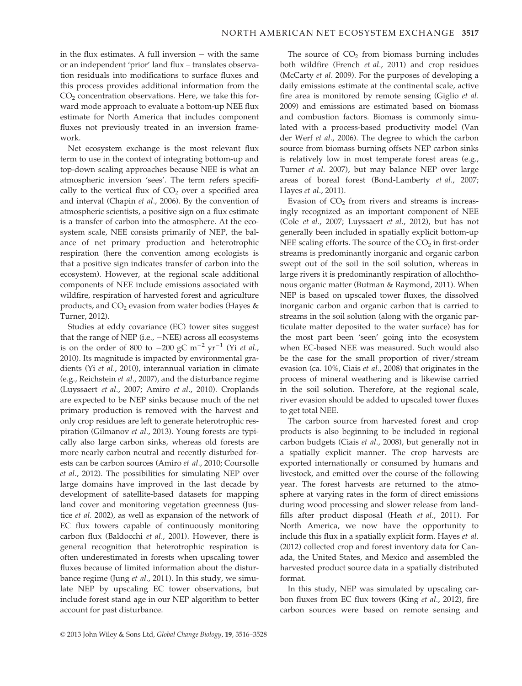in the flux estimates. A full inversion  $-$  with the same or an independent 'prior' land flux – translates observation residuals into modifications to surface fluxes and this process provides additional information from the  $CO<sub>2</sub>$  concentration observations. Here, we take this forward mode approach to evaluate a bottom-up NEE flux estimate for North America that includes component fluxes not previously treated in an inversion framework.

Net ecosystem exchange is the most relevant flux term to use in the context of integrating bottom-up and top-down scaling approaches because NEE is what an atmospheric inversion 'sees'. The term refers specifically to the vertical flux of  $CO<sub>2</sub>$  over a specified area and interval (Chapin et al., 2006). By the convention of atmospheric scientists, a positive sign on a flux estimate is a transfer of carbon into the atmosphere. At the ecosystem scale, NEE consists primarily of NEP, the balance of net primary production and heterotrophic respiration (here the convention among ecologists is that a positive sign indicates transfer of carbon into the ecosystem). However, at the regional scale additional components of NEE include emissions associated with wildfire, respiration of harvested forest and agriculture products, and  $CO<sub>2</sub>$  evasion from water bodies (Hayes & Turner, 2012).

Studies at eddy covariance (EC) tower sites suggest that the range of NEP (i.e.,  $-NEE$ ) across all ecosystems is on the order of 800 to  $-200$  gC m<sup>-2</sup> yr<sup>-1</sup> (Yi *et al.*, 2010). Its magnitude is impacted by environmental gradients (Yi et al., 2010), interannual variation in climate (e.g., Reichstein et al., 2007), and the disturbance regime (Luyssaert et al., 2007; Amiro et al., 2010). Croplands are expected to be NEP sinks because much of the net primary production is removed with the harvest and only crop residues are left to generate heterotrophic respiration (Gilmanov et al., 2013). Young forests are typically also large carbon sinks, whereas old forests are more nearly carbon neutral and recently disturbed forests can be carbon sources (Amiro et al., 2010; Coursolle et al., 2012). The possibilities for simulating NEP over large domains have improved in the last decade by development of satellite-based datasets for mapping land cover and monitoring vegetation greenness (Justice et al. 2002), as well as expansion of the network of EC flux towers capable of continuously monitoring carbon flux (Baldocchi et al., 2001). However, there is general recognition that heterotrophic respiration is often underestimated in forests when upscaling tower fluxes because of limited information about the disturbance regime (Jung et al., 2011). In this study, we simulate NEP by upscaling EC tower observations, but include forest stand age in our NEP algorithm to better account for past disturbance.

The source of  $CO<sub>2</sub>$  from biomass burning includes both wildfire (French et al., 2011) and crop residues (McCarty et al. 2009). For the purposes of developing a daily emissions estimate at the continental scale, active fire area is monitored by remote sensing (Giglio et al. 2009) and emissions are estimated based on biomass and combustion factors. Biomass is commonly simulated with a process-based productivity model (Van der Werf et al., 2006). The degree to which the carbon source from biomass burning offsets NEP carbon sinks is relatively low in most temperate forest areas (e.g., Turner et al. 2007), but may balance NEP over large areas of boreal forest (Bond-Lamberty et al., 2007; Hayes et al., 2011).

Evasion of  $CO<sub>2</sub>$  from rivers and streams is increasingly recognized as an important component of NEE (Cole et al., 2007; Luyssaert et al., 2012), but has not generally been included in spatially explicit bottom-up NEE scaling efforts. The source of the  $CO<sub>2</sub>$  in first-order streams is predominantly inorganic and organic carbon swept out of the soil in the soil solution, whereas in large rivers it is predominantly respiration of allochthonous organic matter (Butman & Raymond, 2011). When NEP is based on upscaled tower fluxes, the dissolved inorganic carbon and organic carbon that is carried to streams in the soil solution (along with the organic particulate matter deposited to the water surface) has for the most part been 'seen' going into the ecosystem when EC-based NEE was measured. Such would also be the case for the small proportion of river/stream evasion (ca. 10%, Ciais et al., 2008) that originates in the process of mineral weathering and is likewise carried in the soil solution. Therefore, at the regional scale, river evasion should be added to upscaled tower fluxes to get total NEE.

The carbon source from harvested forest and crop products is also beginning to be included in regional carbon budgets (Ciais et al., 2008), but generally not in a spatially explicit manner. The crop harvests are exported internationally or consumed by humans and livestock, and emitted over the course of the following year. The forest harvests are returned to the atmosphere at varying rates in the form of direct emissions during wood processing and slower release from landfills after product disposal (Heath et al., 2011). For North America, we now have the opportunity to include this flux in a spatially explicit form. Hayes et al. (2012) collected crop and forest inventory data for Canada, the United States, and Mexico and assembled the harvested product source data in a spatially distributed format.

In this study, NEP was simulated by upscaling carbon fluxes from EC flux towers (King et al., 2012), fire carbon sources were based on remote sensing and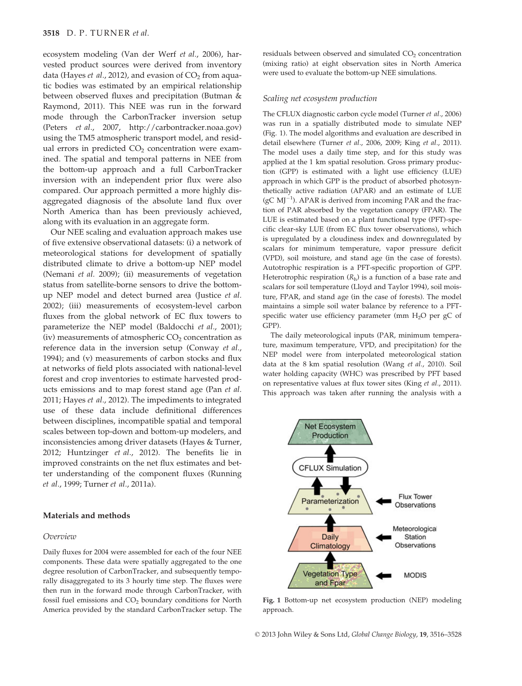#### 3518 D. P. TURNER et al.

ecosystem modeling (Van der Werf et al., 2006), harvested product sources were derived from inventory data (Hayes et al., 2012), and evasion of  $CO<sub>2</sub>$  from aquatic bodies was estimated by an empirical relationship between observed fluxes and precipitation (Butman & Raymond, 2011). This NEE was run in the forward mode through the CarbonTracker inversion setup (Peters et al., 2007, http://carbontracker.noaa.gov) using the TM5 atmospheric transport model, and residual errors in predicted  $CO<sub>2</sub>$  concentration were examined. The spatial and temporal patterns in NEE from the bottom-up approach and a full CarbonTracker inversion with an independent prior flux were also compared. Our approach permitted a more highly disaggregated diagnosis of the absolute land flux over North America than has been previously achieved, along with its evaluation in an aggregate form.

Our NEE scaling and evaluation approach makes use of five extensive observational datasets: (i) a network of meteorological stations for development of spatially distributed climate to drive a bottom-up NEP model (Nemani et al. 2009); (ii) measurements of vegetation status from satellite-borne sensors to drive the bottomup NEP model and detect burned area (Justice et al. 2002); (iii) measurements of ecosystem-level carbon fluxes from the global network of EC flux towers to parameterize the NEP model (Baldocchi et al., 2001); (iv) measurements of atmospheric  $CO<sub>2</sub>$  concentration as reference data in the inversion setup (Conway et al., 1994); and (v) measurements of carbon stocks and flux at networks of field plots associated with national-level forest and crop inventories to estimate harvested products emissions and to map forest stand age (Pan et al. 2011; Hayes et al., 2012). The impediments to integrated use of these data include definitional differences between disciplines, incompatible spatial and temporal scales between top-down and bottom-up modelers, and inconsistencies among driver datasets (Hayes & Turner, 2012; Huntzinger et al., 2012). The benefits lie in improved constraints on the net flux estimates and better understanding of the component fluxes (Running et al., 1999; Turner et al., 2011a).

# Materials and methods

#### Overview

Daily fluxes for 2004 were assembled for each of the four NEE components. These data were spatially aggregated to the one degree resolution of CarbonTracker, and subsequently temporally disaggregated to its 3 hourly time step. The fluxes were then run in the forward mode through CarbonTracker, with fossil fuel emissions and  $CO<sub>2</sub>$  boundary conditions for North America provided by the standard CarbonTracker setup. The residuals between observed and simulated CO<sub>2</sub> concentration (mixing ratio) at eight observation sites in North America were used to evaluate the bottom-up NEE simulations.

#### Scaling net ecosystem production

The CFLUX diagnostic carbon cycle model (Turner et al., 2006) was run in a spatially distributed mode to simulate NEP (Fig. 1). The model algorithms and evaluation are described in detail elsewhere (Turner et al., 2006, 2009; King et al., 2011). The model uses a daily time step, and for this study was applied at the 1 km spatial resolution. Gross primary production (GPP) is estimated with a light use efficiency (LUE) approach in which GPP is the product of absorbed photosynthetically active radiation (APAR) and an estimate of LUE  $(\text{gC} \text{ MJ}^{-1})$ . APAR is derived from incoming PAR and the fraction of PAR absorbed by the vegetation canopy (FPAR). The LUE is estimated based on a plant functional type (PFT)-specific clear-sky LUE (from EC flux tower observations), which is upregulated by a cloudiness index and downregulated by scalars for minimum temperature, vapor pressure deficit (VPD), soil moisture, and stand age (in the case of forests). Autotrophic respiration is a PFT-specific proportion of GPP. Heterotrophic respiration  $(R_h)$  is a function of a base rate and scalars for soil temperature (Lloyd and Taylor 1994), soil moisture, FPAR, and stand age (in the case of forests). The model maintains a simple soil water balance by reference to a PFTspecific water use efficiency parameter (mm  $H_2O$  per gC of GPP).

The daily meteorological inputs (PAR, minimum temperature, maximum temperature, VPD, and precipitation) for the NEP model were from interpolated meteorological station data at the 8 km spatial resolution (Wang et al., 2010). Soil water holding capacity (WHC) was prescribed by PFT based on representative values at flux tower sites (King et al., 2011). This approach was taken after running the analysis with a



Fig. 1 Bottom-up net ecosystem production (NEP) modeling approach.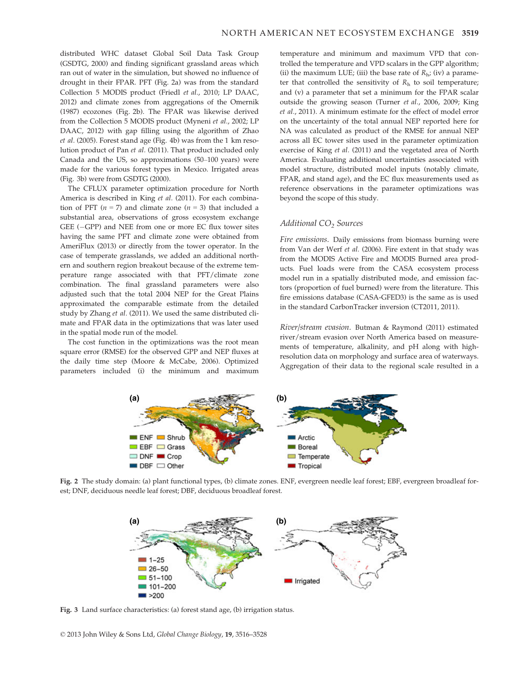distributed WHC dataset Global Soil Data Task Group (GSDTG, 2000) and finding significant grassland areas which ran out of water in the simulation, but showed no influence of drought in their FPAR. PFT (Fig. 2a) was from the standard Collection 5 MODIS product (Friedl et al., 2010; LP DAAC, 2012) and climate zones from aggregations of the Omernik (1987) ecozones (Fig. 2b). The FPAR was likewise derived from the Collection 5 MODIS product (Myneni et al., 2002; LP DAAC, 2012) with gap filling using the algorithm of Zhao et al. (2005). Forest stand age (Fig. 4b) was from the 1 km resolution product of Pan et al. (2011). That product included only Canada and the US, so approximations (50–100 years) were made for the various forest types in Mexico. Irrigated areas (Fig. 3b) were from GSDTG (2000).

The CFLUX parameter optimization procedure for North America is described in King et al. (2011). For each combination of PFT ( $n = 7$ ) and climate zone ( $n = 3$ ) that included a substantial area, observations of gross ecosystem exchange GEE  $(-GPP)$  and NEE from one or more EC flux tower sites having the same PFT and climate zone were obtained from AmeriFlux (2013) or directly from the tower operator. In the case of temperate grasslands, we added an additional northern and southern region breakout because of the extreme temperature range associated with that PFT/climate zone combination. The final grassland parameters were also adjusted such that the total 2004 NEP for the Great Plains approximated the comparable estimate from the detailed study by Zhang et al. (2011). We used the same distributed climate and FPAR data in the optimizations that was later used in the spatial mode run of the model.

The cost function in the optimizations was the root mean square error (RMSE) for the observed GPP and NEP fluxes at the daily time step (Moore & McCabe, 2006). Optimized parameters included (i) the minimum and maximum temperature and minimum and maximum VPD that controlled the temperature and VPD scalars in the GPP algorithm; (ii) the maximum LUE; (iii) the base rate of  $R_{h}$ ; (iv) a parameter that controlled the sensitivity of  $R<sub>h</sub>$  to soil temperature; and (v) a parameter that set a minimum for the FPAR scalar outside the growing season (Turner et al., 2006, 2009; King et al., 2011). A minimum estimate for the effect of model error on the uncertainty of the total annual NEP reported here for NA was calculated as product of the RMSE for annual NEP across all EC tower sites used in the parameter optimization exercise of King et al. (2011) and the vegetated area of North America. Evaluating additional uncertainties associated with model structure, distributed model inputs (notably climate, FPAR, and stand age), and the EC flux measurements used as reference observations in the parameter optimizations was beyond the scope of this study.

### Additional CO<sub>2</sub> Sources

Fire emissions. Daily emissions from biomass burning were from Van der Werf et al. (2006). Fire extent in that study was from the MODIS Active Fire and MODIS Burned area products. Fuel loads were from the CASA ecosystem process model run in a spatially distributed mode, and emission factors (proportion of fuel burned) were from the literature. This fire emissions database (CASA-GFED3) is the same as is used in the standard CarbonTracker inversion (CT2011, 2011).

River/stream evasion. Butman & Raymond (2011) estimated river/stream evasion over North America based on measurements of temperature, alkalinity, and pH along with highresolution data on morphology and surface area of waterways. Aggregation of their data to the regional scale resulted in a



Fig. 2 The study domain: (a) plant functional types, (b) climate zones. ENF, evergreen needle leaf forest; EBF, evergreen broadleaf forest; DNF, deciduous needle leaf forest; DBF, deciduous broadleaf forest.



Fig. 3 Land surface characteristics: (a) forest stand age, (b) irrigation status.

© 2013 John Wiley & Sons Ltd, Global Change Biology, 19, 3516–3528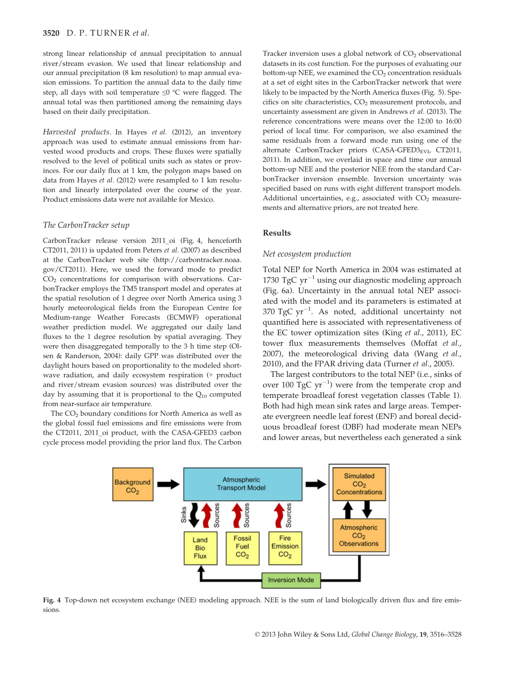#### 3520 D. P. TURNER et al.

strong linear relationship of annual precipitation to annual river/stream evasion. We used that linear relationship and our annual precipitation (8 km resolution) to map annual evasion emissions. To partition the annual data to the daily time step, all days with soil temperature ≤0 °C were flagged. The annual total was then partitioned among the remaining days based on their daily precipitation.

Harvested products. In Hayes et al. (2012), an inventory approach was used to estimate annual emissions from harvested wood products and crops. These fluxes were spatially resolved to the level of political units such as states or provinces. For our daily flux at 1 km, the polygon maps based on data from Hayes et al. (2012) were resampled to 1 km resolution and linearly interpolated over the course of the year. Product emissions data were not available for Mexico.

#### The CarbonTracker setup

CarbonTracker release version 2011\_oi (Fig. 4, henceforth CT2011, 2011) is updated from Peters et al. (2007) as described at the CarbonTracker web site (http://carbontracker.noaa. gov/CT2011). Here, we used the forward mode to predict  $CO<sub>2</sub>$  concentrations for comparison with observations. CarbonTracker employs the TM5 transport model and operates at the spatial resolution of 1 degree over North America using 3 hourly meteorological fields from the European Centre for Medium-range Weather Forecasts (ECMWF) operational weather prediction model. We aggregated our daily land fluxes to the 1 degree resolution by spatial averaging. They were then disaggregated temporally to the 3 h time step (Olsen & Randerson, 2004): daily GPP was distributed over the daylight hours based on proportionality to the modeled shortwave radiation, and daily ecosystem respiration (+ product and river/stream evasion sources) was distributed over the day by assuming that it is proportional to the  $Q_{10}$  computed from near-surface air temperature.

The CO<sub>2</sub> boundary conditions for North America as well as the global fossil fuel emissions and fire emissions were from the CT2011, 2011\_oi product, with the CASA-GFED3 carbon cycle process model providing the prior land flux. The Carbon Tracker inversion uses a global network of  $CO<sub>2</sub>$  observational datasets in its cost function. For the purposes of evaluating our bottom-up NEE, we examined the  $CO<sub>2</sub>$  concentration residuals at a set of eight sites in the CarbonTracker network that were likely to be impacted by the North America fluxes (Fig. 5). Specifics on site characteristics,  $CO<sub>2</sub>$  measurement protocols, and uncertainty assessment are given in Andrews et al. (2013). The reference concentrations were means over the 12:00 to 16:00 period of local time. For comparison, we also examined the same residuals from a forward mode run using one of the alternate CarbonTracker priors (CASA-GFED3 $_{\rm EVI}$ , CT2011, 2011). In addition, we overlaid in space and time our annual bottom-up NEE and the posterior NEE from the standard CarbonTracker inversion ensemble. Inversion uncertainty was specified based on runs with eight different transport models. Additional uncertainties, e.g., associated with  $CO<sub>2</sub>$  measurements and alternative priors, are not treated here.

## Results

#### Net ecosystem production

Total NEP for North America in 2004 was estimated at 1730 TgC  $yr^{-1}$  using our diagnostic modeling approach (Fig. 6a). Uncertainty in the annual total NEP associated with the model and its parameters is estimated at 370  $TgC yr^{-1}$ . As noted, additional uncertainty not quantified here is associated with representativeness of the EC tower optimization sites (King et al., 2011), EC tower flux measurements themselves (Moffat et al., 2007), the meteorological driving data (Wang et al., 2010), and the FPAR driving data (Turner et al., 2005).

The largest contributors to the total NEP (i.e., sinks of over 100 TgC  $yr^{-1}$ ) were from the temperate crop and temperate broadleaf forest vegetation classes (Table 1). Both had high mean sink rates and large areas. Temperate evergreen needle leaf forest (ENF) and boreal deciduous broadleaf forest (DBF) had moderate mean NEPs and lower areas, but nevertheless each generated a sink



Fig. 4 Top-down net ecosystem exchange (NEE) modeling approach. NEE is the sum of land biologically driven flux and fire emissions.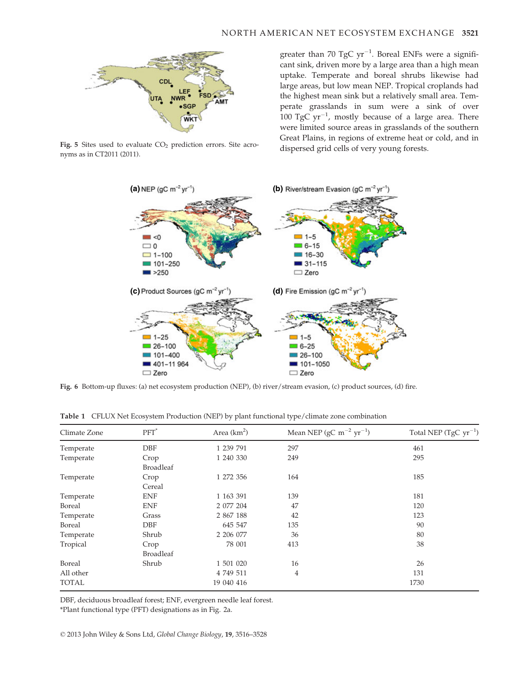

Fig. 5 Sites used to evaluate CO<sub>2</sub> prediction errors. Site acro-<br>dispersed grid cells of very young forests. nyms as in CT2011 (2011).

greater than 70 TgC  $\rm{yr}^{-1}$ . Boreal ENFs were a significant sink, driven more by a large area than a high mean uptake. Temperate and boreal shrubs likewise had large areas, but low mean NEP. Tropical croplands had the highest mean sink but a relatively small area. Temperate grasslands in sum were a sink of over 100 TgC  $yr^{-1}$ , mostly because of a large area. There were limited source areas in grasslands of the southern Great Plains, in regions of extreme heat or cold, and in



Fig. 6 Bottom-up fluxes: (a) net ecosystem production (NEP), (b) river/stream evasion, (c) product sources, (d) fire.

| Climate Zone  | $PFT^*$          | Area $(km2)$ | Mean NEP (gC m <sup><math>-2</math></sup> yr <sup><math>-1</math></sup> ) | Total NEP (TgC $yr^{-1}$ ) |
|---------------|------------------|--------------|---------------------------------------------------------------------------|----------------------------|
| Temperate     | <b>DBF</b>       | 1 239 791    | 297                                                                       | 461                        |
| Temperate     | Crop             | 1 240 330    | 249                                                                       | 295                        |
|               | <b>Broadleaf</b> |              |                                                                           |                            |
| Temperate     | Crop             | 1 272 356    | 164                                                                       | 185                        |
|               | Cereal           |              |                                                                           |                            |
| Temperate     | <b>ENF</b>       | 1 163 391    | 139                                                                       | 181                        |
| <b>Boreal</b> | <b>ENF</b>       | 2 077 204    | 47                                                                        | 120                        |
| Temperate     | Grass            | 2 867 188    | 42                                                                        | 123                        |
| Boreal        | DBF              | 645 547      | 135                                                                       | 90                         |
| Temperate     | Shrub            | 2 206 077    | 36                                                                        | 80                         |
| Tropical      | Crop             | 78 001       | 413                                                                       | 38                         |
|               | <b>Broadleaf</b> |              |                                                                           |                            |
| Boreal        | Shrub            | 1 501 020    | 16                                                                        | 26                         |
| All other     |                  | 4 749 511    | 4                                                                         | 131                        |
| <b>TOTAL</b>  |                  | 19 040 416   |                                                                           | 1730                       |

Table 1 CFLUX Net Ecosystem Production (NEP) by plant functional type/climate zone combination

DBF, deciduous broadleaf forest; ENF, evergreen needle leaf forest.

\*Plant functional type (PFT) designations as in Fig. 2a.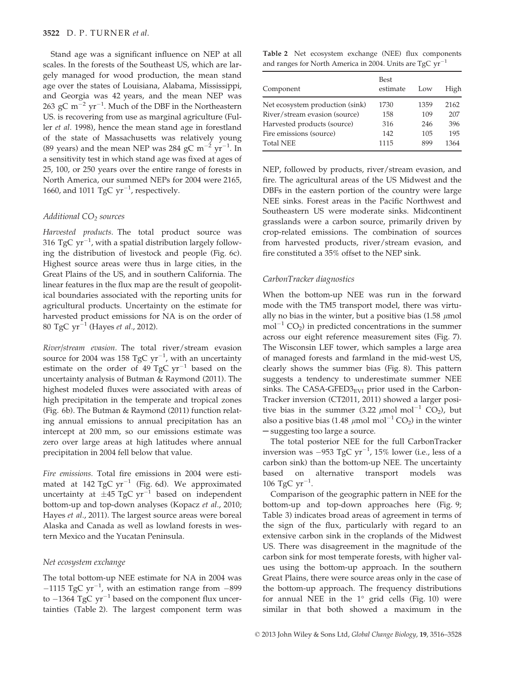Stand age was a significant influence on NEP at all scales. In the forests of the Southeast US, which are largely managed for wood production, the mean stand age over the states of Louisiana, Alabama, Mississippi, and Georgia was 42 years, and the mean NEP was 263 gC m<sup>-2</sup> yr<sup>-1</sup>. Much of the DBF in the Northeastern US. is recovering from use as marginal agriculture (Fuller et al. 1998), hence the mean stand age in forestland of the state of Massachusetts was relatively young (89 years) and the mean NEP was 284 gC  $\mathrm{m}^{-2}$  yr<sup>-1</sup>. In a sensitivity test in which stand age was fixed at ages of 25, 100, or 250 years over the entire range of forests in North America, our summed NEPs for 2004 were 2165, 1660, and 1011 TgC  $yr^{-1}$ , respectively.

### Additional  $CO<sub>2</sub>$  sources

Harvested products. The total product source was 316  $\rm TgC~yr^{-1}$ , with a spatial distribution largely following the distribution of livestock and people (Fig. 6c). Highest source areas were thus in large cities, in the Great Plains of the US, and in southern California. The linear features in the flux map are the result of geopolitical boundaries associated with the reporting units for agricultural products. Uncertainty on the estimate for harvested product emissions for NA is on the order of 80 TgC  $yr^{-1}$  (Hayes *et al.*, 2012).

River/stream evasion. The total river/stream evasion source for 2004 was 158 TgC  $yr^{-1}$ , with an uncertainty estimate on the order of 49 TgC  $yr^{-1}$  based on the uncertainty analysis of Butman & Raymond (2011). The highest modeled fluxes were associated with areas of high precipitation in the temperate and tropical zones (Fig. 6b). The Butman & Raymond (2011) function relating annual emissions to annual precipitation has an intercept at 200 mm, so our emissions estimate was zero over large areas at high latitudes where annual precipitation in 2004 fell below that value.

Fire emissions. Total fire emissions in 2004 were estimated at 142 TgC  $yr^{-1}$  (Fig. 6d). We approximated uncertainty at  $\pm 45$  TgC yr<sup>-1</sup> based on independent bottom-up and top-down analyses (Kopacz et al., 2010; Hayes et al., 2011). The largest source areas were boreal Alaska and Canada as well as lowland forests in western Mexico and the Yucatan Peninsula.

## Net ecosystem exchange

The total bottom-up NEE estimate for NA in 2004 was  $-1115$  TgC yr<sup>-1</sup>, with an estimation range from  $-899$ to  $-1364$  TgC  $yr^{-1}$  based on the component flux uncertainties (Table 2). The largest component term was

Table 2 Net ecosystem exchange (NEE) flux components and ranges for North America in 2004. Units are  $TgCyr$ 

| Component                       | <b>Best</b><br>estimate | Low  | High |
|---------------------------------|-------------------------|------|------|
| Net ecosystem production (sink) | 1730                    | 1359 | 2162 |
| River/stream evasion (source)   | 158                     | 109  | 207  |
| Harvested products (source)     | 316                     | 246  | 396  |
| Fire emissions (source)         | 142                     | 105  | 195  |
| <b>Total NEE</b>                | 1115                    | 899  | 1364 |

NEP, followed by products, river/stream evasion, and fire. The agricultural areas of the US Midwest and the DBFs in the eastern portion of the country were large NEE sinks. Forest areas in the Pacific Northwest and Southeastern US were moderate sinks. Midcontinent grasslands were a carbon source, primarily driven by crop-related emissions. The combination of sources from harvested products, river/stream evasion, and fire constituted a 35% offset to the NEP sink.

# CarbonTracker diagnostics

When the bottom-up NEE was run in the forward mode with the TM5 transport model, there was virtually no bias in the winter, but a positive bias (1.58  $\mu$ mol  $mol^{-1}$  CO<sub>2</sub>) in predicted concentrations in the summer across our eight reference measurement sites (Fig. 7). The Wisconsin LEF tower, which samples a large area of managed forests and farmland in the mid-west US, clearly shows the summer bias (Fig. 8). This pattern suggests a tendency to underestimate summer NEE sinks. The CASA-GFED $3_{\text{EVI}}$  prior used in the Carbon-Tracker inversion (CT2011, 2011) showed a larger positive bias in the summer (3.22  $\mu$ mol mol<sup>-1</sup> CO<sub>2</sub>), but also a positive bias (1.48  $\mu$ mol mol<sup>-1</sup> CO<sub>2</sub>) in the winter ─ suggesting too large a source.

The total posterior NEE for the full CarbonTracker inversion was  $-953 \text{ TgC yr}^{-1}$ , 15% lower (i.e., less of a carbon sink) than the bottom-up NEE. The uncertainty based on alternative transport models was 106 TgC  $yr^{-1}$ .

Comparison of the geographic pattern in NEE for the bottom-up and top-down approaches here (Fig. 9; Table 3) indicates broad areas of agreement in terms of the sign of the flux, particularly with regard to an extensive carbon sink in the croplands of the Midwest US. There was disagreement in the magnitude of the carbon sink for most temperate forests, with higher values using the bottom-up approach. In the southern Great Plains, there were source areas only in the case of the bottom-up approach. The frequency distributions for annual NEE in the 1° grid cells (Fig. 10) were similar in that both showed a maximum in the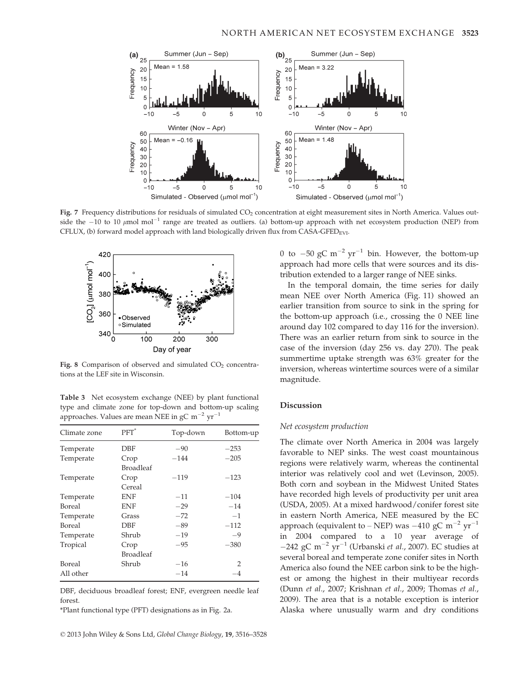

Fig. 7 Frequency distributions for residuals of simulated CO<sub>2</sub> concentration at eight measurement sites in North America. Values outside the  $-10$  to 10  $\mu$ mol mol<sup>-1</sup> range are treated as outliers. (a) bottom-up approach with net ecosystem production (NEP) from CFLUX, (b) forward model approach with land biologically driven flux from CASA-GFED<sub>EVI</sub>.



Fig. 8 Comparison of observed and simulated  $CO<sub>2</sub>$  concentrations at the LEF site in Wisconsin.

Table 3 Net ecosystem exchange (NEE) by plant functional type and climate zone for top-down and bottom-up scaling approaches. Values are mean NEE in  $\rm gC~m^{-2}~yr^{-1}$ 

| Climate zone  | $PFT^*$          | Top-down | Bottom-up |
|---------------|------------------|----------|-----------|
| Temperate     | DBF              | $-90$    | $-253$    |
| Temperate     | Crop             | $-144$   | $-205$    |
|               | <b>Broadleaf</b> |          |           |
| Temperate     | Crop             | $-119$   | $-123$    |
|               | Cereal           |          |           |
| Temperate     | <b>ENF</b>       | $-11$    | $-104$    |
| Boreal        | ENF              | $-29$    | $-14$     |
| Temperate     | Grass            | $-72$    | $-1$      |
| <b>Boreal</b> | DBF              | $-89$    | $-112$    |
| Temperate     | Shrub            | $-19$    | $-9$      |
| Tropical      | Crop             | $-95$    | $-380$    |
|               | <b>Broadleaf</b> |          |           |
| Boreal        | Shrub            | $-16$    | 2         |
| All other     |                  | $-14$    | -4        |

DBF, deciduous broadleaf forest; ENF, evergreen needle leaf forest.

\*Plant functional type (PFT) designations as in Fig. 2a.

0 to  $-50$  gC m<sup>-2</sup> yr<sup>-1</sup> bin. However, the bottom-up approach had more cells that were sources and its distribution extended to a larger range of NEE sinks.

In the temporal domain, the time series for daily mean NEE over North America (Fig. 11) showed an earlier transition from source to sink in the spring for the bottom-up approach (i.e., crossing the 0 NEE line around day 102 compared to day 116 for the inversion). There was an earlier return from sink to source in the case of the inversion (day 256 vs. day 270). The peak summertime uptake strength was 63% greater for the inversion, whereas wintertime sources were of a similar magnitude.

## Discussion

#### Net ecosystem production

The climate over North America in 2004 was largely favorable to NEP sinks. The west coast mountainous regions were relatively warm, whereas the continental interior was relatively cool and wet (Levinson, 2005). Both corn and soybean in the Midwest United States have recorded high levels of productivity per unit area (USDA, 2005). At a mixed hardwood/conifer forest site in eastern North America, NEE measured by the EC approach (equivalent to – NEP) was –410 gC m<sup>-2</sup> yr<sup>-1</sup> in 2004 compared to a 10 year average of  $-242$  gC m<sup>-2</sup> yr<sup>-1</sup> (Urbanski *et al.*, 2007). EC studies at several boreal and temperate zone conifer sites in North America also found the NEE carbon sink to be the highest or among the highest in their multiyear records (Dunn et al., 2007; Krishnan et al., 2009; Thomas et al., 2009). The area that is a notable exception is interior Alaska where unusually warm and dry conditions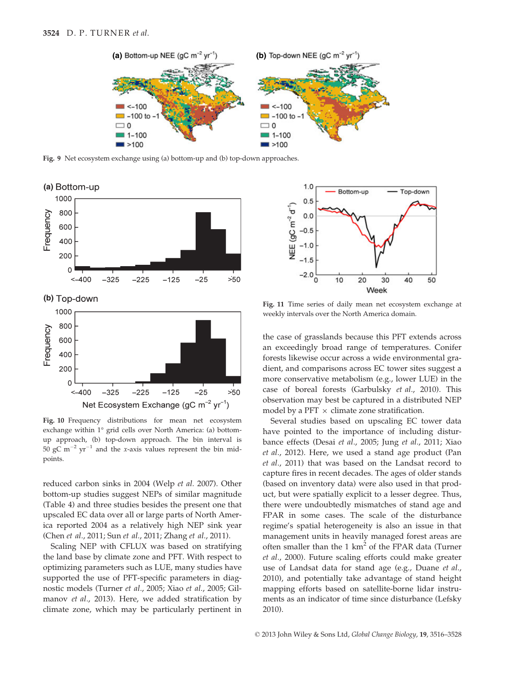

Fig. 9 Net ecosystem exchange using (a) bottom-up and (b) top-down approaches.



Fig. 10 Frequency distributions for mean net ecosystem exchange within 1° grid cells over North America: (a) bottomup approach, (b) top-down approach. The bin interval is 50 gC m<sup>-2</sup> yr<sup>-1</sup> and the x-axis values represent the bin midpoints.

reduced carbon sinks in 2004 (Welp et al. 2007). Other bottom-up studies suggest NEPs of similar magnitude (Table 4) and three studies besides the present one that upscaled EC data over all or large parts of North America reported 2004 as a relatively high NEP sink year (Chen et al., 2011; Sun et al., 2011; Zhang et al., 2011).

Scaling NEP with CFLUX was based on stratifying the land base by climate zone and PFT. With respect to optimizing parameters such as LUE, many studies have supported the use of PFT-specific parameters in diagnostic models (Turner et al., 2005; Xiao et al., 2005; Gilmanov et al., 2013). Here, we added stratification by climate zone, which may be particularly pertinent in



Fig. 11 Time series of daily mean net ecosystem exchange at weekly intervals over the North America domain.

the case of grasslands because this PFT extends across an exceedingly broad range of temperatures. Conifer forests likewise occur across a wide environmental gradient, and comparisons across EC tower sites suggest a more conservative metabolism (e.g., lower LUE) in the case of boreal forests (Garbulsky et al., 2010). This observation may best be captured in a distributed NEP model by a PFT  $\times$  climate zone stratification.

Several studies based on upscaling EC tower data have pointed to the importance of including disturbance effects (Desai et al., 2005; Jung et al., 2011; Xiao et al., 2012). Here, we used a stand age product (Pan et al., 2011) that was based on the Landsat record to capture fires in recent decades. The ages of older stands (based on inventory data) were also used in that product, but were spatially explicit to a lesser degree. Thus, there were undoubtedly mismatches of stand age and FPAR in some cases. The scale of the disturbance regime's spatial heterogeneity is also an issue in that management units in heavily managed forest areas are often smaller than the 1  $km^2$  of the FPAR data (Turner et al., 2000). Future scaling efforts could make greater use of Landsat data for stand age (e.g., Duane et al., 2010), and potentially take advantage of stand height mapping efforts based on satellite-borne lidar instruments as an indicator of time since disturbance (Lefsky 2010).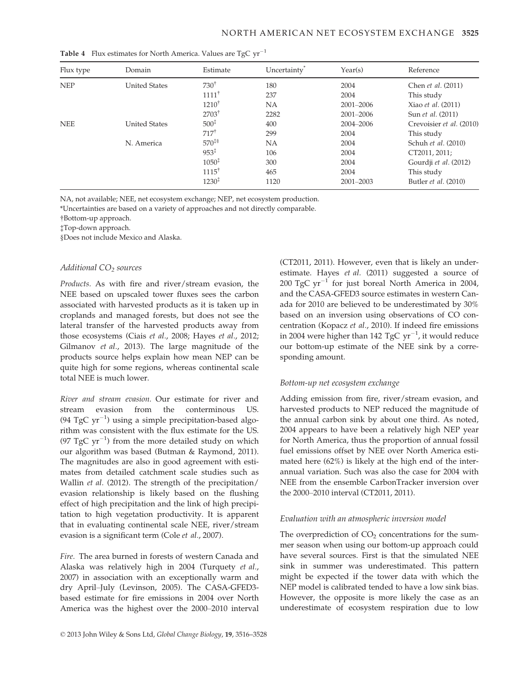| Flux type  | Domain               | Estimate          | Uncertainty <sup>®</sup> | Year(s)   | Reference                   |
|------------|----------------------|-------------------|--------------------------|-----------|-----------------------------|
| <b>NEP</b> | <b>United States</b> | $730^{\dagger}$   | 180                      | 2004      | Chen et al. (2011)          |
|            |                      | $1111^{\dagger}$  | 237                      | 2004      | This study                  |
|            |                      | $1210^{\dagger}$  | <b>NA</b>                | 2001-2006 | Xiao et al. (2011)          |
|            |                      | $2703^{\dagger}$  | 2282                     | 2001-2006 | Sun et al. (2011)           |
| <b>NEE</b> | <b>United States</b> | $500^{\ddagger}$  | 400                      | 2004-2006 | Crevoisier et al. (2010)    |
|            |                      | $717^{\dagger}$   | 299                      | 2004      | This study                  |
|            | N. America           | $570*$            | NA                       | 2004      | Schuh et al. (2010)         |
|            |                      | $953*$            | 106                      | 2004      | CT2011, 2011;               |
|            |                      | $1050^{\ddagger}$ | 300                      | 2004      | Gourdji et al. (2012)       |
|            |                      | $1115^{\dagger}$  | 465                      | 2004      | This study                  |
|            |                      | $1230^{\ddagger}$ | 1120                     | 2001-2003 | Butler <i>et al.</i> (2010) |

Table 4 Flux estimates for North America. Values are TgC  $yr^{-1}$ 

NA, not available; NEE, net ecosystem exchange; NEP, net ecosystem production.

\*Uncertainties are based on a variety of approaches and not directly comparable.

†Bottom-up approach.

‡Top-down approach.

§Does not include Mexico and Alaska.

## Additional  $CO<sub>2</sub>$  sources

Products. As with fire and river/stream evasion, the NEE based on upscaled tower fluxes sees the carbon associated with harvested products as it is taken up in croplands and managed forests, but does not see the lateral transfer of the harvested products away from those ecosystems (Ciais et al., 2008; Hayes et al., 2012; Gilmanov et al., 2013). The large magnitude of the products source helps explain how mean NEP can be quite high for some regions, whereas continental scale total NEE is much lower.

River and stream evasion. Our estimate for river and stream evasion from the conterminous US. (94 TgC  $yr^{-1}$ ) using a simple precipitation-based algorithm was consistent with the flux estimate for the US. (97 TgC  $yr^{-1}$ ) from the more detailed study on which our algorithm was based (Butman & Raymond, 2011). The magnitudes are also in good agreement with estimates from detailed catchment scale studies such as Wallin et al. (2012). The strength of the precipitation/ evasion relationship is likely based on the flushing effect of high precipitation and the link of high precipitation to high vegetation productivity. It is apparent that in evaluating continental scale NEE, river/stream evasion is a significant term (Cole et al., 2007).

Fire. The area burned in forests of western Canada and Alaska was relatively high in 2004 (Turquety et al., 2007) in association with an exceptionally warm and dry April–July (Levinson, 2005). The CASA-GFED3 based estimate for fire emissions in 2004 over North America was the highest over the 2000–2010 interval (CT2011, 2011). However, even that is likely an underestimate. Hayes et al. (2011) suggested a source of 200 TgC  $yr^{-1}$  for just boreal North America in 2004, and the CASA-GFED3 source estimates in western Canada for 2010 are believed to be underestimated by 30% based on an inversion using observations of CO concentration (Kopacz et al., 2010). If indeed fire emissions in 2004 were higher than 142  $\rm TgC~yr^{-1}$ , it would reduce our bottom-up estimate of the NEE sink by a corresponding amount.

# Bottom-up net ecosystem exchange

Adding emission from fire, river/stream evasion, and harvested products to NEP reduced the magnitude of the annual carbon sink by about one third. As noted, 2004 appears to have been a relatively high NEP year for North America, thus the proportion of annual fossil fuel emissions offset by NEE over North America estimated here (62%) is likely at the high end of the interannual variation. Such was also the case for 2004 with NEE from the ensemble CarbonTracker inversion over the 2000–2010 interval (CT2011, 2011).

# Evaluation with an atmospheric inversion model

The overprediction of  $CO<sub>2</sub>$  concentrations for the summer season when using our bottom-up approach could have several sources. First is that the simulated NEE sink in summer was underestimated. This pattern might be expected if the tower data with which the NEP model is calibrated tended to have a low sink bias. However, the opposite is more likely the case as an underestimate of ecosystem respiration due to low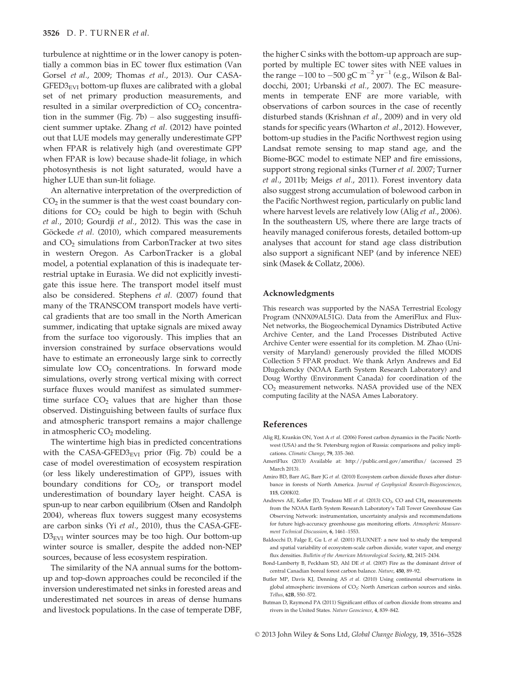turbulence at nighttime or in the lower canopy is potentially a common bias in EC tower flux estimation (Van Gorsel et al., 2009; Thomas et al., 2013). Our CASA- $GFED3<sub>EVI</sub>$  bottom-up fluxes are calibrated with a global set of net primary production measurements, and resulted in a similar overprediction of  $CO<sub>2</sub>$  concentration in the summer (Fig.  $7b$ ) – also suggesting insufficient summer uptake. Zhang et al. (2012) have pointed out that LUE models may generally underestimate GPP when FPAR is relatively high (and overestimate GPP when FPAR is low) because shade-lit foliage, in which photosynthesis is not light saturated, would have a higher LUE than sun-lit foliage.

An alternative interpretation of the overprediction of  $CO<sub>2</sub>$  in the summer is that the west coast boundary conditions for  $CO<sub>2</sub>$  could be high to begin with (Schuh et al., 2010; Gourdji et al., 2012). This was the case in Göckede et al. (2010), which compared measurements and  $CO<sub>2</sub>$  simulations from CarbonTracker at two sites in western Oregon. As CarbonTracker is a global model, a potential explanation of this is inadequate terrestrial uptake in Eurasia. We did not explicitly investigate this issue here. The transport model itself must also be considered. Stephens et al. (2007) found that many of the TRANSCOM transport models have vertical gradients that are too small in the North American summer, indicating that uptake signals are mixed away from the surface too vigorously. This implies that an inversion constrained by surface observations would have to estimate an erroneously large sink to correctly simulate low  $CO<sub>2</sub>$  concentrations. In forward mode simulations, overly strong vertical mixing with correct surface fluxes would manifest as simulated summertime surface  $CO<sub>2</sub>$  values that are higher than those observed. Distinguishing between faults of surface flux and atmospheric transport remains a major challenge in atmospheric  $CO<sub>2</sub>$  modeling.

The wintertime high bias in predicted concentrations with the CASA-GFED3 $_{\text{EVI}}$  prior (Fig. 7b) could be a case of model overestimation of ecosystem respiration (or less likely underestimation of GPP), issues with boundary conditions for  $CO<sub>2</sub>$ , or transport model underestimation of boundary layer height. CASA is spun-up to near carbon equilibrium (Olsen and Randolph 2004), whereas flux towers suggest many ecosystems are carbon sinks (Yi et al., 2010), thus the CASA-GFE- $D3_{EVI}$  winter sources may be too high. Our bottom-up winter source is smaller, despite the added non-NEP sources, because of less ecosystem respiration.

The similarity of the NA annual sums for the bottomup and top-down approaches could be reconciled if the inversion underestimated net sinks in forested areas and underestimated net sources in areas of dense humans and livestock populations. In the case of temperate DBF, the higher C sinks with the bottom-up approach are supported by multiple EC tower sites with NEE values in the range  $-100$  to  $-500$  gC m<sup>-2</sup> yr<sup>-1</sup> (e.g., Wilson & Baldocchi, 2001; Urbanski et al., 2007). The EC measurements in temperate ENF are more variable, with observations of carbon sources in the case of recently disturbed stands (Krishnan et al., 2009) and in very old stands for specific years (Wharton et al., 2012). However, bottom-up studies in the Pacific Northwest region using Landsat remote sensing to map stand age, and the Biome-BGC model to estimate NEP and fire emissions, support strong regional sinks (Turner et al. 2007; Turner et al., 2011b; Meigs et al., 2011). Forest inventory data also suggest strong accumulation of bolewood carbon in the Pacific Northwest region, particularly on public land where harvest levels are relatively low (Alig et al., 2006). In the southeastern US, where there are large tracts of heavily managed coniferous forests, detailed bottom-up analyses that account for stand age class distribution also support a significant NEP (and by inference NEE) sink (Masek & Collatz, 2006).

#### Acknowledgments

This research was supported by the NASA Terrestrial Ecology Program (NNX09AL51G). Data from the AmeriFlux and Flux-Net networks, the Biogeochemical Dynamics Distributed Active Archive Center, and the Land Processes Distributed Active Archive Center were essential for its completion. M. Zhao (University of Maryland) generously provided the filled MODIS Collection 5 FPAR product. We thank Arlyn Andrews and Ed Dlugokencky (NOAA Earth System Research Laboratory) and Doug Worthy (Environment Canada) for coordination of the CO2 measurement networks. NASA provided use of the NEX computing facility at the NASA Ames Laboratory.

#### References

- Alig RJ, Krankin ON, Yost A et al. (2006) Forest carbon dynamics in the Pacific Northwest (USA) and the St. Petersburg region of Russia: comparisons and policy implications. Climatic Change, 79, 335–360.
- AmeriFlux (2013) Available at: http://public.ornl.gov/ameriflux/ (accessed 25 March 2013).
- Amiro BD, Barr AG, Barr JG et al. (2010) Ecosystem carbon dioxide fluxes after disturbance in forests of North America. Journal of Geophysical Research-Biogeosciences, 115, G00K02.
- Andrews AE, Kofler JD, Trudeau ME et al. (2013)  $CO<sub>2</sub>$ , CO and CH<sub>4</sub> measurements from the NOAA Earth System Research Laboratory's Tall Tower Greenhouse Gas Observing Network: instrumentation, uncertainty analysis and recommendations for future high-accuracy greenhouse gas monitoring efforts. Atmospheric Measurement Technical Discussion, 6, 1461–1553.
- Baldocchi D, Falge E, Gu L et al. (2001) FLUXNET: a new tool to study the temporal and spatial variability of ecosystem-scale carbon dioxide, water vapor, and energy flux densities. Bulletin of the American Meteorological Society, 82, 2415–2434.
- Bond-Lamberty B, Peckham SD, Ahl DE et al. (2007) Fire as the dominant driver of central Canadian boreal forest carbon balance. Nature, 450, 89–92.
- Butler MP, Davis KJ, Denning AS et al. (2010) Using continental observations in global atmospheric inversions of CO<sub>2</sub>: North American carbon sources and sinks. Tellus, 62B, 550–572.
- Butman D, Raymond PA (2011) Significant efflux of carbon dioxide from streams and rivers in the United States. Nature Geoscience, 4, 839–842.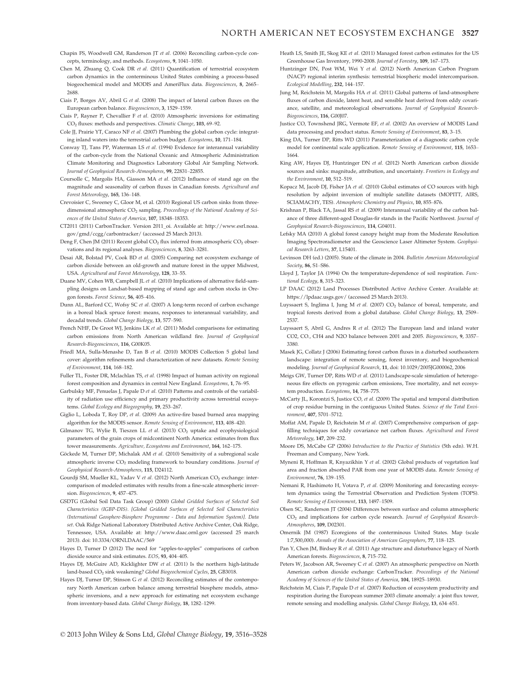## NORTH AMERICAN NET ECOSYSTEM EXCHANGE 3527

- Chapin FS, Woodwell GM, Randerson JT et al. (2006) Reconciling carbon-cycle concepts, terminology, and methods. Ecosystems, 9, 1041–1050.
- Chen M, Zhuang Q, Cook DR et al. (2011) Quantification of terrestrial ecosystem carbon dynamics in the conterminous United States combining a process-based biogeochemical model and MODIS and AmeriFlux data. Biogeosciences, 8, 2665– 2688.
- Ciais P, Borges AV, Abril G et al. (2008) The impact of lateral carbon fluxes on the European carbon balance. Biogeosciences, 3, 1529–1559.
- Ciais P, Rayner P, Chevallier F et al. (2010) Atmospheric inversions for estimating CO2 fluxes: methods and perspectives. Climatic Change, 103, 69–92.
- Cole JJ, Prairie YT, Caraco NF et al. (2007) Plumbing the global carbon cycle: integrating inland waters into the terrestrial carbon budget. Ecosystems, 10, 171–184.
- Conway TJ, Tans PP, Waterman LS et al. (1994) Evidence for interannual variability of the carbon-cycle from the National Oceanic and Atmospheric Administration Climate Monitoring and Diagnostics Laboratory Global Air Sampling Network. Journal of Geophysical Research-Atmospheres, 99, 22831–22855.
- Coursolle C, Margolis HA, Giasson MA et al. (2012) Influence of stand age on the magnitude and seasonality of carbon fluxes in Canadian forests. Agricultural and Forest Meteorology, 165, 136–148.
- Crevoisier C, Sweeney C, Gloor M, et al. (2010) Regional US carbon sinks from threedimensional atmospheric CO<sub>2</sub> sampling. Proceedings of the National Academy of Sciences of the United States of America, 107, 18348–18353.
- CT2011 (2011) CarbonTracker. Version 2011\_oi. Available at: http://www.esrl.noaa. gov/gmd/ccgg/carbontracker/ (accessed 25 March 2013).
- Deng F, Chen JM (2011) Recent global CO<sub>2</sub> flux inferred from atmospheric CO<sub>2</sub> observations and its regional analyses. Biogeosciences, 8, 3263–3281.
- Desai AR, Bolstad PV, Cook BD et al. (2005) Comparing net ecosystem exchange of carbon dioxide between an old-growth and mature forest in the upper Midwest, USA. Agricultural and Forest Meteorology, 128, 33–55.
- Duane MV, Cohen WB, Campbell JL et al. (2010) Implications of alternative field-sampling designs on Landsat-based mapping of stand age and carbon stocks in Oregon forests. Forest Science, 56, 405–416.
- Dunn AL, Barford CC, Wofsy SC et al. (2007) A long-term record of carbon exchange in a boreal black spruce forest: means, responses to interannual variability, and decadal trends. Global Change Biology, 13, 577–590.
- French NHF, De Groot WJ, Jenkins LK et al. (2011) Model comparisons for estimating carbon emissions from North American wildland fire. Journal of Geophysical Research-Biogeosciences, 116, G00K05.
- Friedl MA, Sulla-Menashe D, Tan B et al. (2010) MODIS Collection 5 global land cover: algorithm refinements and characterization of new datasets. Remote Sensing of Environment, 114, 168–182.
- Fuller TL, Foster DR, Mclachlan TS, et al. (1998) Impact of human activity on regional forest composition and dynamics in central New England. Ecosystems, 1, 76–95.
- Garbulsky MF, Penuelas J, Papale D et al. (2010) Patterns and controls of the variability of radiation use efficiency and primary productivity across terrestrial ecosystems. Global Ecology and Biogeography, 19, 253–267.
- Giglio L, Loboda T, Roy DP, et al. (2009) An active-fire based burned area mapping algorithm for the MODIS sensor. Remote Sensing of Environment, 113, 408–420.
- Gilmanov TG, Wylie B, Tieszen LL et al. (2013) CO<sub>2</sub> uptake and ecophysiological parameters of the grain crops of midcontinent North America: estimates from flux tower measurements. Agriculture, Ecosystems and Environment, 164, 162-175.
- Göckede M, Turner DP, Michalak AM et al. (2010) Sensitivity of a subregional scale atmospheric inverse CO<sub>2</sub> modeling framework to boundary conditions. Journal of Geophysical Research-Atmospheres, 115, D24112.
- Gourdji SM, Mueller KL, Yadav V et al. (2012) North American CO<sub>2</sub> exchange: intercomparison of modeled estimates with results from a fine-scale atmospheric inversion. Biogeosciences, 9, 457–475.
- GSDTG (Global Soil Data Task Group) (2000) Global Gridded Surfaces of Selected Soil Characteristics (IGBP-DIS). [Global Gridded Surfaces of Selected Soil Characteristics (International Geosphere-Biosphere Programme - Data and Information System)]. Data set. Oak Ridge National Laboratory Distributed Active Archive Center, Oak Ridge, Tennessee, USA. Available at: http://www.daac.ornl.gov (accessed 25 march 2013). doi: 10.3334/ORNLDAAC/569
- Hayes D, Turner D (2012) The need for "apples-to-apples" comparisons of carbon dioxide source and sink estimates. EOS, 93, 404–405.
- Hayes DJ, McGuire AD, Kicklighter DW et al. (2011) Is the northern high-latitude land-based CO<sub>2</sub> sink weakening? Global Biogeochemical Cycles, 25, GB3018.
- Hayes DJ, Turner DP, Stinson G et al. (2012) Reconciling estimates of the contemporary North American carbon balance among terrestrial biosphere models, atmospheric inversions, and a new approach for estimating net ecosystem exchange from inventory-based data. Global Change Biology, 18, 1282–1299.
- Heath LS, Smith JE, Skog KE et al. (2011) Managed forest carbon estimates for the US Greenhouse Gas Inventory, 1990-2008. Journal of Forestry, 109, 167–173.
- Huntzinger DN, Post WM, Wei Y et al. (2012) North American Carbon Program (NACP) regional interim synthesis: terrestrial biospheric model intercomparison. Ecological Modelling, 232, 144–157.
- Jung M, Reichstein M, Margolis HA et al. (2011) Global patterns of land-atmosphere fluxes of carbon dioxide, latent heat, and sensible heat derived from eddy covariance, satellite, and meteorological observations. Journal of Geophysical Research-Biogeosciences, 116, G00J07.
- Justice CO, Townshend JRG, Vermote EF, et al. (2002) An overview of MODIS Land data processing and product status. Remote Sensing of Environment, 83, 3–15.
- King DA, Turner DP, Ritts WD (2011) Parameterization of a diagnostic carbon cycle model for continental scale application. Remote Sensing of Environment, 115, 1653– 1664.
- King AW, Hayes DJ, Huntzinger DN et al. (2012) North American carbon dioxide sources and sinks: magnitude, attribution, and uncertainty. Frontiers in Ecology and the Environment, 10, 512–519.
- Kopacz M, Jacob DJ, Fisher JA et al. (2010) Global estimates of CO sources with high resolution by adjoint inversion of multiple satellite datasets (MOPITT, AIRS, SCIAMACHY, TES). Atmospheric Chemistry and Physics, 10, 855–876.
- Krishnan P, Black TA, Jassal RS et al. (2009) Interannual variability of the carbon balance of three different-aged Douglas-fir stands in the Pacific Northwest. Journal of Geophysical Research-Biogeosciences, 114, G04011.
- Lefsky MA (2010) A global forest canopy height map from the Moderate Resolution Imaging Spectroradiometer and the Geoscience Laser Altimeter System. Geophysical Research Letters, 37, L15401.
- Levinson DH (ed.) (2005). State of the climate in 2004. Bulletin American Meteorological Society, 86, S1–S86.
- Lloyd J, Taylor JA (1994) On the temperature-dependence of soil respiration. Functional Ecology, 8, 315–323.
- LP DAAC (2012) Land Processes Distributed Active Archive Center. Available at: https://lpdaac.usgs.gov/ (accessed 25 March 2013).
- Luyssaert S, Inglima I, Jung M et al. (2007)  $CO<sub>2</sub>$  balance of boreal, temperate, and tropical forests derived from a global database. Global Change Biology, 13, 2509– 2537.
- Luyssaert S, Abril G, Andres R et al. (2012) The European land and inland water CO2, CO., CH4 and N2O balance between 2001 and 2005. Biogeosciences, 9, 3357– 3380.
- Masek JG, Collatz J (2006) Estimating forest carbon fluxes in a disturbed southeastern landscape: integration of remote sensing, forest inventory, and biogeochemical modeling. Journal of Geophysical Research, 11, doi: 10.1029/2005JG000062, 2006
- Meigs GW, Turner DP, Ritts WD et al. (2011) Landscape-scale simulation of heterogeneous fire effects on pyrogenic carbon emissions, Tree mortality, and net ecosystem production. Ecosystems, 14, 758–775.
- McCarty JL, Korontzi S, Justice CO, et al. (2009) The spatial and temporal distribution of crop residue burning in the contiguous United States. Science of the Total Environment, 407, 5701–5712.
- Moffat AM, Papale D, Reichstein M et al. (2007) Comprehensive comparison of gapfilling techniques for eddy covariance net carbon fluxes. Agricultural and Forest Meteorology, 147, 209–232.
- Moore DS, McCabe GP (2006) Introduction to the Practice of Statistics (5th edn). W.H. Freeman and Company, New York.
- Myneni R, Hoffman R, Knyazikhin Y et al. (2002) Global products of vegetation leaf area and fraction absorbed PAR from one year of MODIS data. Remote Sensing of Environment, 76, 139–155.
- Nemani R, Hashimoto H, Votava P, et al. (2009) Monitoring and forecasting ecosystem dynamics using the Terrestrial Observation and Prediction System (TOPS). Remote Sensing of Environment, 113, 1497–1509.
- Olsen SC, Randerson JT (2004) Differences between surface and column atmospheric CO<sub>2</sub> and implications for carbon cycle research. Journal of Geophysical Research-Atmospheres, 109, D02301.
- Omernik JM (1987) Ecoregions of the conterminous United States. Map (scale 1:7,500,000). Annals of the Association of American Geographers, 77, 118–125.
- Pan Y, Chen JM, Birdsey R et al. (2011) Age structure and disturbance legacy of North American forests. Biogeosciences, 8, 715–732.
- Peters W, Jacobson AR, Sweeney C et al. (2007) An atmospheric perspective on North American carbon dioxide exchange: CarbonTracker. Proceedings of the National Academy of Sciences of the United States of America, 104, 18925–18930.
- Reichstein M, Ciais P, Papale D et al. (2007) Reduction of ecosystem productivity and respiration during the European summer 2003 climate anomaly: a joint flux tower, remote sensing and modelling analysis. Global Change Biology, 13, 634–651.